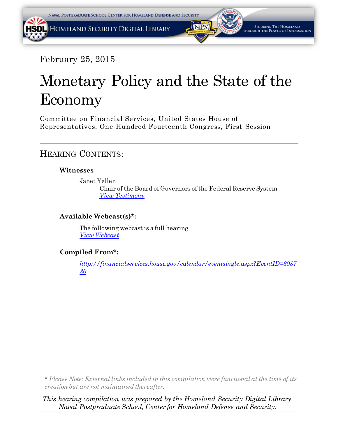

## February 25, 2015

# Monetary Policy and the State of the Economy

Committee on Financial Services, United States House of Representatives, One Hundred Fourteenth Congress, First Session

## HEARING CONTENTS:

### **Witnesses**

Janet Yellen Chair of the Board of Governors of the Federal Reserve System *[View Testimony](#page-1-0)*

## **Available Webcast(s)\*:**

The following webcast is a full hearing *[View Webcast](https://www.youtube.com/watch?v=8tTicvVOBSQ)*

## **Compiled From\*:**

*[http://financialservices.house.gov/calendar/eventsingle.aspx?EventID=3987](http://financialservices.house.gov/calendar/eventsingle.aspx?EventID=398720) [20](http://financialservices.house.gov/calendar/eventsingle.aspx?EventID=398720)*

*\* Please Note: External links included in this compilation were functional at the time of its creation but are not maintained thereafter.*

*This hearing compilation was prepared by the Homeland Security Digital Library, Naval Postgraduate School, Center for Homeland Defense and Security.*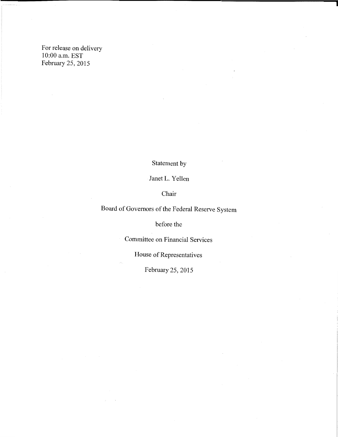For release on delivery  $10:00$ a.m. $\operatorname{EST}$ February 25, 2015

Statement by

Janet L. Yellen

Chair

Board of Governors of the Federal Reserve System

before the

Committee on Financial Services

House of Representatives

February 25, 2015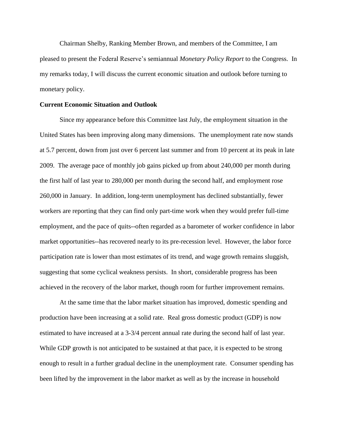Chairman Shelby, Ranking Member Brown, and members of the Committee, I am pleased to present the Federal Reserve's semiannual *Monetary Policy Report* to the Congress. In my remarks today, I will discuss the current economic situation and outlook before turning to monetary policy.

#### **Current Economic Situation and Outlook**

Since my appearance before this Committee last July, the employment situation in the United States has been improving along many dimensions. The unemployment rate now stands at 5.7 percent, down from just over 6 percent last summer and from 10 percent at its peak in late 2009. The average pace of monthly job gains picked up from about 240,000 per month during the first half of last year to 280,000 per month during the second half, and employment rose 260,000 in January. In addition, long-term unemployment has declined substantially, fewer workers are reporting that they can find only part-time work when they would prefer full-time employment, and the pace of quits--often regarded as a barometer of worker confidence in labor market opportunities--has recovered nearly to its pre-recession level. However, the labor force participation rate is lower than most estimates of its trend, and wage growth remains sluggish, suggesting that some cyclical weakness persists. In short, considerable progress has been achieved in the recovery of the labor market, though room for further improvement remains.

At the same time that the labor market situation has improved, domestic spending and production have been increasing at a solid rate. Real gross domestic product (GDP) is now estimated to have increased at a 3-3/4 percent annual rate during the second half of last year. While GDP growth is not anticipated to be sustained at that pace, it is expected to be strong enough to result in a further gradual decline in the unemployment rate. Consumer spending has been lifted by the improvement in the labor market as well as by the increase in household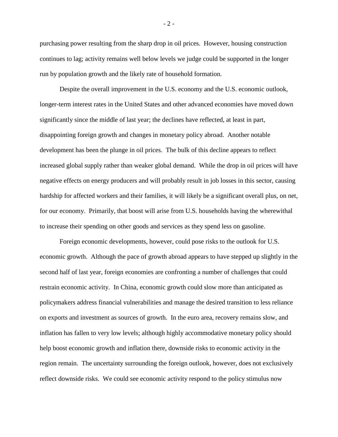purchasing power resulting from the sharp drop in oil prices. However, housing construction continues to lag; activity remains well below levels we judge could be supported in the longer run by population growth and the likely rate of household formation.

Despite the overall improvement in the U.S. economy and the U.S. economic outlook, longer-term interest rates in the United States and other advanced economies have moved down significantly since the middle of last year; the declines have reflected, at least in part, disappointing foreign growth and changes in monetary policy abroad. Another notable development has been the plunge in oil prices. The bulk of this decline appears to reflect increased global supply rather than weaker global demand. While the drop in oil prices will have negative effects on energy producers and will probably result in job losses in this sector, causing hardship for affected workers and their families, it will likely be a significant overall plus, on net, for our economy. Primarily, that boost will arise from U.S. households having the wherewithal to increase their spending on other goods and services as they spend less on gasoline.

Foreign economic developments, however, could pose risks to the outlook for U.S. economic growth. Although the pace of growth abroad appears to have stepped up slightly in the second half of last year, foreign economies are confronting a number of challenges that could restrain economic activity. In China, economic growth could slow more than anticipated as policymakers address financial vulnerabilities and manage the desired transition to less reliance on exports and investment as sources of growth. In the euro area, recovery remains slow, and inflation has fallen to very low levels; although highly accommodative monetary policy should help boost economic growth and inflation there, downside risks to economic activity in the region remain. The uncertainty surrounding the foreign outlook, however, does not exclusively reflect downside risks. We could see economic activity respond to the policy stimulus now

- 2 -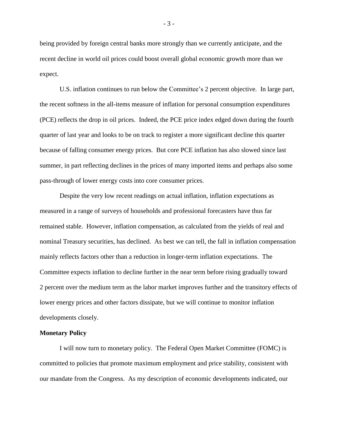being provided by foreign central banks more strongly than we currently anticipate, and the recent decline in world oil prices could boost overall global economic growth more than we expect.

U.S. inflation continues to run below the Committee's 2 percent objective. In large part, the recent softness in the all-items measure of inflation for personal consumption expenditures (PCE) reflects the drop in oil prices. Indeed, the PCE price index edged down during the fourth quarter of last year and looks to be on track to register a more significant decline this quarter because of falling consumer energy prices. But core PCE inflation has also slowed since last summer, in part reflecting declines in the prices of many imported items and perhaps also some pass-through of lower energy costs into core consumer prices.

Despite the very low recent readings on actual inflation, inflation expectations as measured in a range of surveys of households and professional forecasters have thus far remained stable. However, inflation compensation, as calculated from the yields of real and nominal Treasury securities, has declined. As best we can tell, the fall in inflation compensation mainly reflects factors other than a reduction in longer-term inflation expectations. The Committee expects inflation to decline further in the near term before rising gradually toward 2 percent over the medium term as the labor market improves further and the transitory effects of lower energy prices and other factors dissipate, but we will continue to monitor inflation developments closely.

#### **Monetary Policy**

I will now turn to monetary policy. The Federal Open Market Committee (FOMC) is committed to policies that promote maximum employment and price stability, consistent with our mandate from the Congress. As my description of economic developments indicated, our

- 3 -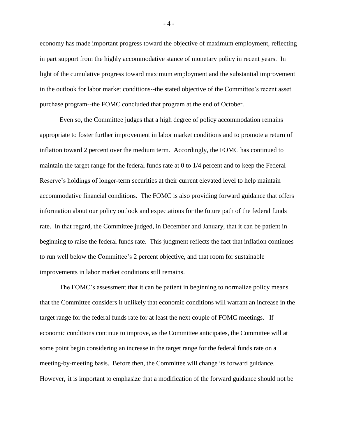economy has made important progress toward the objective of maximum employment, reflecting in part support from the highly accommodative stance of monetary policy in recent years. In light of the cumulative progress toward maximum employment and the substantial improvement in the outlook for labor market conditions--the stated objective of the Committee's recent asset purchase program--the FOMC concluded that program at the end of October.

Even so, the Committee judges that a high degree of policy accommodation remains appropriate to foster further improvement in labor market conditions and to promote a return of inflation toward 2 percent over the medium term. Accordingly, the FOMC has continued to maintain the target range for the federal funds rate at 0 to 1/4 percent and to keep the Federal Reserve's holdings of longer-term securities at their current elevated level to help maintain accommodative financial conditions. The FOMC is also providing forward guidance that offers information about our policy outlook and expectations for the future path of the federal funds rate. In that regard, the Committee judged, in December and January, that it can be patient in beginning to raise the federal funds rate. This judgment reflects the fact that inflation continues to run well below the Committee's 2 percent objective, and that room for sustainable improvements in labor market conditions still remains.

The FOMC's assessment that it can be patient in beginning to normalize policy means that the Committee considers it unlikely that economic conditions will warrant an increase in the target range for the federal funds rate for at least the next couple of FOMC meetings. If economic conditions continue to improve, as the Committee anticipates, the Committee will at some point begin considering an increase in the target range for the federal funds rate on a meeting-by-meeting basis. Before then, the Committee will change its forward guidance. However, it is important to emphasize that a modification of the forward guidance should not be

 $-4-$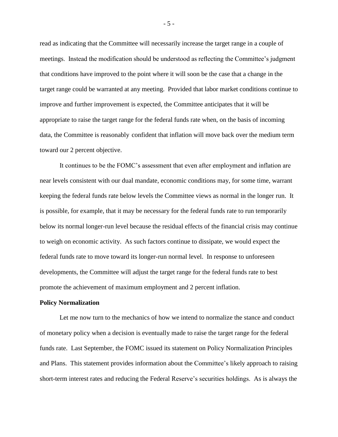read as indicating that the Committee will necessarily increase the target range in a couple of meetings. Instead the modification should be understood as reflecting the Committee's judgment that conditions have improved to the point where it will soon be the case that a change in the target range could be warranted at any meeting. Provided that labor market conditions continue to improve and further improvement is expected, the Committee anticipates that it will be appropriate to raise the target range for the federal funds rate when, on the basis of incoming data, the Committee is reasonably confident that inflation will move back over the medium term toward our 2 percent objective.

It continues to be the FOMC's assessment that even after employment and inflation are near levels consistent with our dual mandate, economic conditions may, for some time, warrant keeping the federal funds rate below levels the Committee views as normal in the longer run. It is possible, for example, that it may be necessary for the federal funds rate to run temporarily below its normal longer-run level because the residual effects of the financial crisis may continue to weigh on economic activity. As such factors continue to dissipate, we would expect the federal funds rate to move toward its longer-run normal level. In response to unforeseen developments, the Committee will adjust the target range for the federal funds rate to best promote the achievement of maximum employment and 2 percent inflation.

#### **Policy Normalization**

Let me now turn to the mechanics of how we intend to normalize the stance and conduct of monetary policy when a decision is eventually made to raise the target range for the federal funds rate. Last September, the FOMC issued its statement on Policy Normalization Principles and Plans. This statement provides information about the Committee's likely approach to raising short-term interest rates and reducing the Federal Reserve's securities holdings. As is always the

- 5 -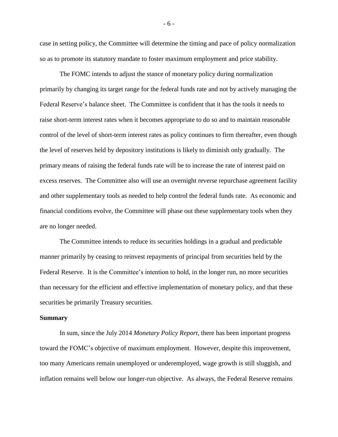case in setting policy, the Committee will determine the timing and pace of policy normalization so as to promote its statutory mandate to foster maximum employment and price stability.

The FOMC intends to adjust the stance of monetary policy during normalization primarily by changing its target range for the federal funds rate and not by actively managing the Federal Reserve's balance sheet. The Committee is confident that it has the tools it needs to raise short-term interest rates when it becomes appropriate to do so and to maintain reasonable control of the level of short-term interest rates as policy continues to firm thereafter, even though the level of reserves held by depository institutions is likely to diminish only gradually. The primary means of raising the federal funds rate will be to increase the rate of interest paid on excess reserves. The Committee also will use an overnight reverse repurchase agreement facility and other supplementary tools as needed to help control the federal funds rate. As economic and financial conditions evolve, the Committee will phase out these supplementary tools when they are no longer needed.

The Committee intends to reduce its securities holdings in a gradual and predictable manner primarily by ceasing to reinvest repayments of principal from securities held by the Federal Reserve. It is the Committee's intention to hold, in the longer run, no more securities than necessary for the efficient and effective implementation of monetary policy, and that these securities be primarily Treasury securities.

#### **Summary**

In sum, since the July 2014 *Monetary Policy Report,* there has been important progress toward the FOMC's objective of maximum employment. However, despite this improvement, too many Americans remain unemployed or underemployed, wage growth is still sluggish, and inflation remains well below our longer-run objective. As always, the Federal Reserve remains

- 6 -